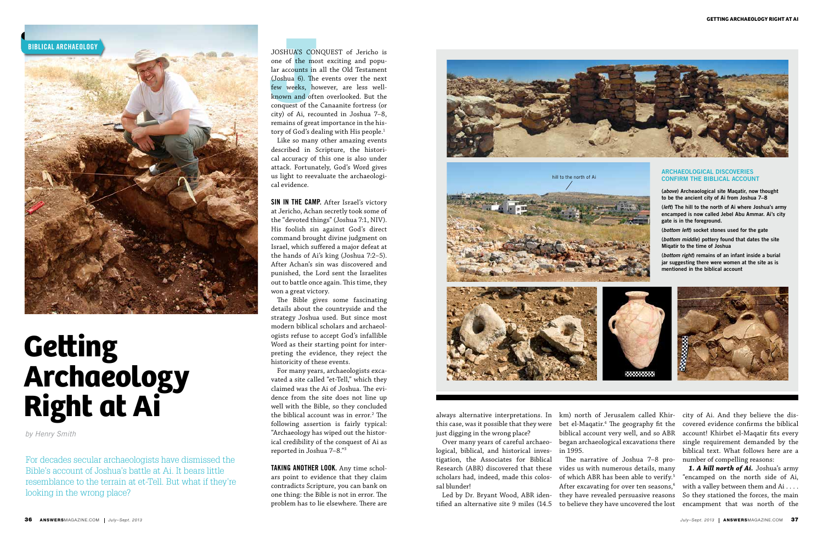

For decades secular archaeologists have dismissed the Bible's account of Joshua's battle at Ai. It bears little resemblance to the terrain at et-Tell. But what if they're looking in the wrong place?

JOSHUA'S COM<br>
one of the mo<br>
lar accounts in<br>
(Joshua 6). The<br>
few weeks, ho<br>
known and oft<br>
conquest of the<br>
city) of Ai, rece JOSHUA'S CONQUEST of Jericho is one of the most exciting and popular accounts in all the Old Testament (Joshua 6). The events over the next few weeks, however, are less wellknown and often overlooked. But the conquest of the Canaanite fortress (or city) of Ai, recounted in Joshua 7–8, remains of great importance in the history of God's dealing with His people.<sup>1</sup>

*by Henry Smith*

## **Getting Archaeology Right at Ai**

SIN IN THE CAMP. After Israel's victory at Jericho, Achan secretly took some of the "devoted things" (Joshua 7:1, NIV). His foolish sin against God's direct command brought divine judgment on Israel, which suffered a major defeat at the hands of Ai's king (Joshua 7:2–5). After Achan's sin was discovered and punished, the Lord sent the Israelites out to battle once again. This time, they won a great victory.

Like so many other amazing events described in Scripture, the historical accuracy of this one is also under attack. Fortunately, God's Word gives us light to reevaluate the archaeological evidence.

TAKING ANOTHER LOOK. Any time scholars point to evidence that they claim contradicts Scripture, you can bank on one thing: the Bible is not in error. The problem has to lie elsewhere. There are

The Bible gives some fascinating details about the countryside and the strategy Joshua used. But since most modern biblical scholars and archaeologists refuse to accept God's infallible Word as their starting point for interpreting the evidence, they reject the historicity of these events.

For many years, archaeologists excavated a site called "et-Tell," which they claimed was the Ai of Joshua. The evidence from the site does not line up well with the Bible, so they concluded the biblical account was in error.2 The following assertion is fairly typical: "Archaeology has wiped out the historical credibility of the conquest of Ai as reported in Joshua 7–8."3

always alternative interpretations. In this case, was it possible that they were just digging in the wrong place?

Over many years of careful archaeological, biblical, and historical investigation, the Associates for Biblical Research (ABR) discovered that these scholars had, indeed, made this colossal blunder!

Led by Dr. Bryant Wood, ABR iden-

km) north of Jerusalem called Khirbet el-Maqatir.4 The geography fit the biblical account very well, and so ABR in 1995.

began archaeological excavations there single requirement demanded by the city of Ai. And they believe the discovered evidence confirms the biblical account! Khirbet el-Maqatir fits every biblical text. What follows here are a

tified an alternative site 9 miles (14.5 to believe they have uncovered the lost The narrative of Joshua 7–8 pro-number of compelling reasons: vides us with numerous details, many of which ABR has been able to verify.5 After excavating for over ten seasons,<sup>6</sup> they have revealed persuasive reasons *1. A hill north of Ai.* Joshua's army "encamped on the north side of Ai, with a valley between them and Ai . . . . So they stationed the forces, the main encampment that was north of the